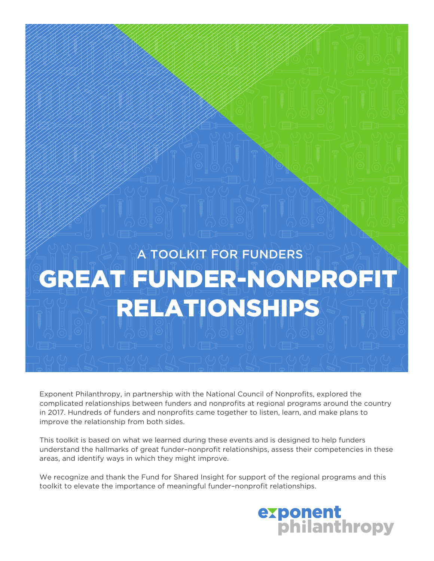# A TOOLKIT FOR FUNDERS GREAT FUNDER-NONPROFIT RELATIONSHIPS

Exponent Philanthropy, in partnership with the National Council of Nonprofits, explored the complicated relationships between funders and nonprofits at regional programs around the country in 2017. Hundreds of funders and nonprofits came together to listen, learn, and make plans to improve the relationship from both sides.

This toolkit is based on what we learned during these events and is designed to help funders understand the hallmarks of great funder–nonprofit relationships, assess their competencies in these areas, and identify ways in which they might improve.

We recognize and thank the Fund for Shared Insight for support of the regional programs and this toolkit to elevate the importance of meaningful funder–nonprofit relationships.

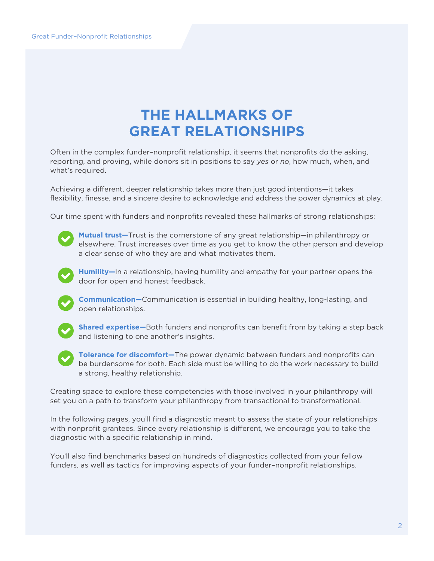## **THE HALLMARKS OF GREAT RELATIONSHIPS**

Often in the complex funder–nonprofit relationship, it seems that nonprofits do the asking, reporting, and proving, while donors sit in positions to say *yes* or *no*, how much, when, and what's required.

Achieving a different, deeper relationship takes more than just good intentions—it takes flexibility, finesse, and a sincere desire to acknowledge and address the power dynamics at play.

Our time spent with funders and nonprofits revealed these hallmarks of strong relationships:



**Mutual trust—**Trust is the cornerstone of any great relationship—in philanthropy or elsewhere. Trust increases over time as you get to know the other person and develop a clear sense of who they are and what motivates them.



**Humility—**In a relationship, having humility and empathy for your partner opens the door for open and honest feedback.



**Communication—**Communication is essential in building healthy, long-lasting, and open relationships.



**Shared expertise—**Both funders and nonprofits can benefit from by taking a step back and listening to one another's insights.



**Tolerance for discomfort—**The power dynamic between funders and nonprofits can be burdensome for both. Each side must be willing to do the work necessary to build a strong, healthy relationship.

Creating space to explore these competencies with those involved in your philanthropy will set you on a path to transform your philanthropy from transactional to transformational.

In the following pages, you'll find a diagnostic meant to assess the state of your relationships with nonprofit grantees. Since every relationship is different, we encourage you to take the diagnostic with a specific relationship in mind.

You'll also find benchmarks based on hundreds of diagnostics collected from your fellow funders, as well as tactics for improving aspects of your funder–nonprofit relationships.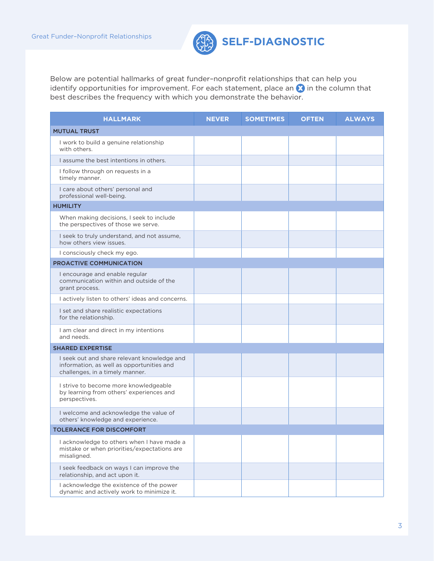

Below are potential hallmarks of great funder–nonprofit relationships that can help you identify opportunities for improvement. For each statement, place an  $\Omega$  in the column that best describes the frequency with which you demonstrate the behavior.

| <b>HALLMARK</b>                                                                                                             | <b>NEVER</b> | <b>SOMETIMES</b> | <b>OFTEN</b> | <b>ALWAYS</b> |
|-----------------------------------------------------------------------------------------------------------------------------|--------------|------------------|--------------|---------------|
| <b>MUTUAL TRUST</b>                                                                                                         |              |                  |              |               |
| I work to build a genuine relationship<br>with others.                                                                      |              |                  |              |               |
| I assume the best intentions in others.                                                                                     |              |                  |              |               |
| I follow through on requests in a<br>timely manner.                                                                         |              |                  |              |               |
| I care about others' personal and<br>professional well-being.                                                               |              |                  |              |               |
| <b>HUMILITY</b>                                                                                                             |              |                  |              |               |
| When making decisions, I seek to include<br>the perspectives of those we serve.                                             |              |                  |              |               |
| I seek to truly understand, and not assume,<br>how others view issues.                                                      |              |                  |              |               |
| I consciously check my ego.                                                                                                 |              |                  |              |               |
| <b>PROACTIVE COMMUNICATION</b>                                                                                              |              |                  |              |               |
| I encourage and enable regular<br>communication within and outside of the<br>grant process.                                 |              |                  |              |               |
| I actively listen to others' ideas and concerns.                                                                            |              |                  |              |               |
| I set and share realistic expectations<br>for the relationship.                                                             |              |                  |              |               |
| I am clear and direct in my intentions<br>and needs.                                                                        |              |                  |              |               |
| <b>SHARED EXPERTISE</b>                                                                                                     |              |                  |              |               |
| I seek out and share relevant knowledge and<br>information, as well as opportunities and<br>challenges, in a timely manner. |              |                  |              |               |
| I strive to become more knowledgeable<br>by learning from others' experiences and<br>perspectives.                          |              |                  |              |               |
| I welcome and acknowledge the value of<br>others' knowledge and experience.                                                 |              |                  |              |               |
| TOLERANCE FOR DISCOMFORT                                                                                                    |              |                  |              |               |
| I acknowledge to others when I have made a<br>mistake or when priorities/expectations are<br>misaligned.                    |              |                  |              |               |
| I seek feedback on ways I can improve the<br>relationship, and act upon it.                                                 |              |                  |              |               |
| I acknowledge the existence of the power<br>dynamic and actively work to minimize it.                                       |              |                  |              |               |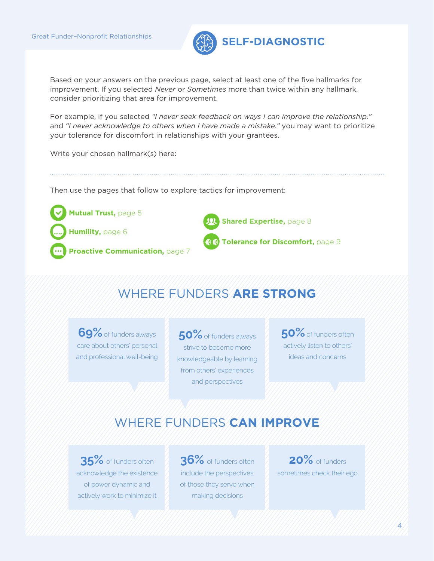

Based on your answers on the previous page, select at least one of the five hallmarks for improvement. If you selected *Never* or *Sometimes* more than twice within any hallmark, consider prioritizing that area for improvement.

For example, if you selected *"I never seek feedback on ways I can improve the relationship."* and *"I never acknowledge to others when I have made a mistake."* you may want to prioritize your tolerance for discomfort in relationships with your grantees.

Write your chosen hallmark(s) here:

Then use the pages that follow to explore tactics for improvement:



### WHERE FUNDERS **ARE STRONG**

**69%**of funders always care about others' personal and professional well-being

**50%**of funders always strive to become more knowledgeable by learning from others' experiences and perspectives

**50%**of funders often actively listen to others' ideas and concerns

### WHERE FUNDERS **CAN IMPROVE**

**35%** of funders often acknowledge the existence of power dynamic and actively work to minimize it

**36%** of funders often include the perspectives of those they serve when making decisions

**20%** of funders sometimes check their ego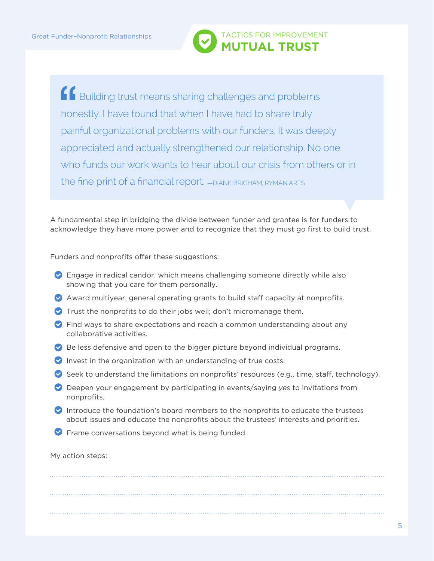

**f** Building trust means sharing challenges and problems honestly. I have found that when I have had to share truly painful organizational problems with our funders, it was deeply appreciated and actually strengthened our relationship. No one who funds our work wants to hear about our crisis from others or in the fine print of a financial report.  $-$  DIANE BRIGHAM, RYMAN ARTS

A fundamental step in bridging the divide between funder and grantee is for funders to acknowledge they have more power and to recognize that they must go first to build trust.

Funders and nonprofits offer these suggestions:

- Engage in radical candor, which means challenging someone directly while also showing that you care for them personally.
- Award multiyear, general operating grants to build staff capacity at nonprofits.
- Trust the nonprofits to do their jobs well; don't micromanage them.
- Find ways to share expectations and reach a common understanding about any collaborative activities.
- Be less defensive and open to the bigger picture beyond individual programs.
- $\bullet$  Invest in the organization with an understanding of true costs.
- Seek to understand the limitations on nonprofits' resources (e.g., time, staff, technology).
- Deepen your engagement by participating in events/saying *yes* to invitations from nonprofits.
- Introduce the foundation's board members to the nonprofits to educate the trustees about issues and educate the nonprofits about the trustees' interests and priorities.
- **P** Frame conversations beyond what is being funded.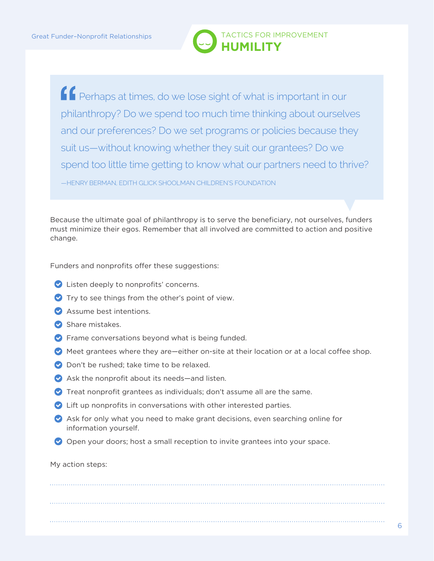

**Perhaps at times, do we lose sight of what is important in our** philanthropy? Do we spend too much time thinking about ourselves and our preferences? Do we set programs or policies because they suit us—without knowing whether they suit our grantees? Do we spend too little time getting to know what our partners need to thrive? —HENRY BERMAN, EDITH GLICK SHOOLMAN CHILDREN'S FOUNDATION

Because the ultimate goal of philanthropy is to serve the beneficiary, not ourselves, funders must minimize their egos. Remember that all involved are committed to action and positive change.

Funders and nonprofits offer these suggestions:

- **C** Listen deeply to nonprofits' concerns.
- $\bullet$  Try to see things from the other's point of view.
- Assume best intentions.
- Share mistakes.
- $\triangledown$  Frame conversations beyond what is being funded.
- Meet grantees where they are—either on-site at their location or at a local coffee shop.
- **O** Don't be rushed: take time to be relaxed.
- Ask the nonprofit about its needs—and listen.
- Treat nonprofit grantees as individuals; don't assume all are the same.
- Lift up nonprofits in conversations with other interested parties.
- $\bullet$  Ask for only what you need to make grant decisions, even searching online for information yourself.
- O Open your doors; host a small reception to invite grantees into your space.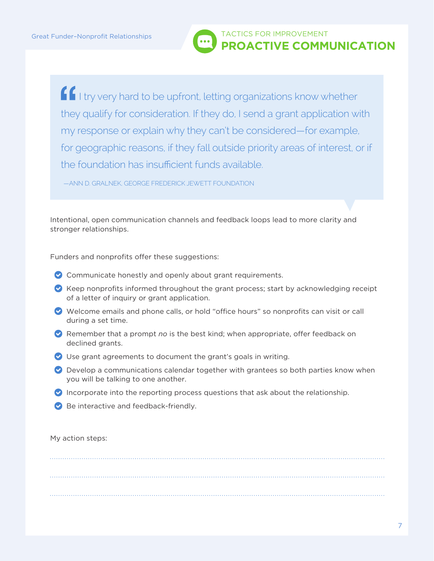

If I try very hard to be upfront, letting organizations know whether they qualify for consideration. If they do, I send a grant application with my response or explain why they can't be considered—for example, for geographic reasons, if they fall outside priority areas of interest, or if the foundation has insufficient funds available.

—ANN D. GRALNEK, GEORGE FREDERICK JEWETT FOUNDATION

Intentional, open communication channels and feedback loops lead to more clarity and stronger relationships.

Funders and nonprofits offer these suggestions:

- Communicate honestly and openly about grant requirements.
- $\bullet$  Keep nonprofits informed throughout the grant process; start by acknowledging receipt of a letter of inquiry or grant application.
- Welcome emails and phone calls, or hold "office hours" so nonprofits can visit or call during a set time.
- Remember that a prompt *no* is the best kind; when appropriate, offer feedback on declined grants.
- Use grant agreements to document the grant's goals in writing.
- $\bullet$  Develop a communications calendar together with grantees so both parties know when you will be talking to one another.
- Incorporate into the reporting process questions that ask about the relationship.
- Be interactive and feedback-friendly.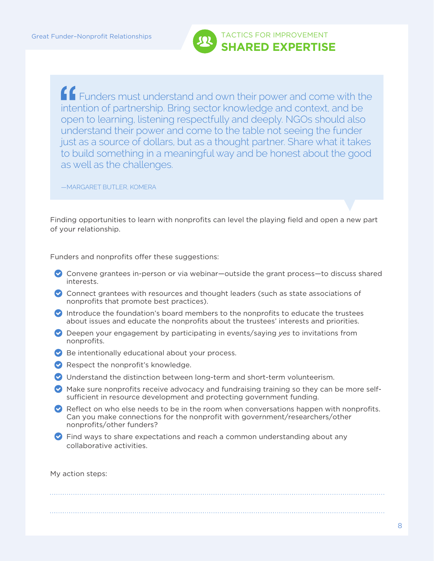

 Funders must understand and own their power and come with the intention of partnership. Bring sector knowledge and context, and be open to learning, listening respectfully and deeply. NGOs should also understand their power and come to the table not seeing the funder just as a source of dollars, but as a thought partner. Share what it takes to build something in a meaningful way and be honest about the good as well as the challenges.

—MARGARET BUTLER, KOMERA

Finding opportunities to learn with nonprofits can level the playing field and open a new part of your relationship.

Funders and nonprofits offer these suggestions:

- Convene grantees in-person or via webinar—outside the grant process—to discuss shared interests.
- $\bullet$  Connect grantees with resources and thought leaders (such as state associations of nonprofits that promote best practices).
- Introduce the foundation's board members to the nonprofits to educate the trustees about issues and educate the nonprofits about the trustees' interests and priorities.
- Deepen your engagement by participating in events/saying *yes* to invitations from nonprofits.
- $\triangleright$  Be intentionally educational about your process.
- Respect the nonprofit's knowledge.
- Understand the distinction between long-term and short-term volunteerism.
- Make sure nonprofits receive advocacy and fundraising training so they can be more selfsufficient in resource development and protecting government funding.
- $\bullet$  Reflect on who else needs to be in the room when conversations happen with nonprofits. Can you make connections for the nonprofit with government/researchers/other nonprofits/other funders?
- **C** Find ways to share expectations and reach a common understanding about any collaborative activities.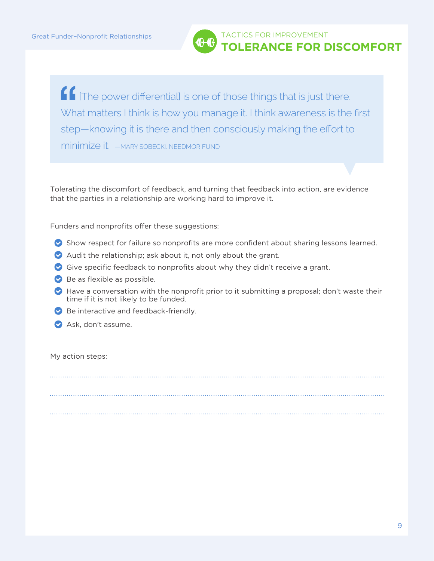

**f** [The power differential] is one of those things that is just there. What matters I think is how you manage it. I think awareness is the first step—knowing it is there and then consciously making the effort to minimize it. —MARY SOBECKI, NEEDMOR FUND

Tolerating the discomfort of feedback, and turning that feedback into action, are evidence that the parties in a relationship are working hard to improve it.

Funders and nonprofits offer these suggestions:

- Show respect for failure so nonprofits are more confident about sharing lessons learned.
- Audit the relationship; ask about it, not only about the grant.
- Give specific feedback to nonprofits about why they didn't receive a grant.
- $\triangleright$  Be as flexible as possible.
- $\bullet$  Have a conversation with the nonprofit prior to it submitting a proposal; don't waste their time if it is not likely to be funded.
- Be interactive and feedback-friendly.
- Ask, don't assume.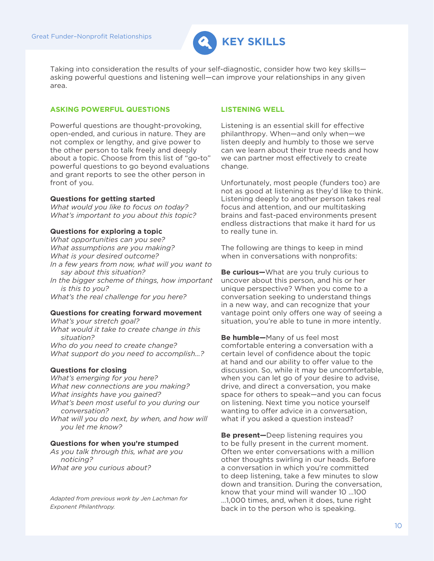

Taking into consideration the results of your self-diagnostic, consider how two key skills asking powerful questions and listening well—can improve your relationships in any given area.

### **ASKING POWERFUL QUESTIONS**

Powerful questions are thought-provoking, open-ended, and curious in nature. They are not complex or lengthy, and give power to the other person to talk freely and deeply about a topic. Choose from this list of "go-to" powerful questions to go beyond evaluations and grant reports to see the other person in front of you.

#### **Questions for getting started**

*What would you like to focus on today? What's important to you about this topic?*

#### **Questions for exploring a topic**

*What opportunities can you see? What assumptions are you making? What is your desired outcome? In a few years from now, what will you want to say about this situation? In the bigger scheme of things, how important is this to you?*

*What's the real challenge for you here?*

#### **Questions for creating forward movement**

*What's your stretch goal? What would it take to create change in this situation? Who do you need to create change? What support do you need to accomplish…?*

#### **Questions for closing**

*What's emerging for you here? What new connections are you making? What insights have you gained? What's been most useful to you during our conversation? What will you do next, by when, and how will you let me know?*

#### **Questions for when you're stumped**

*As you talk through this, what are you noticing? What are you curious about?*

*Adapted from previous work by Jen Lachman for Exponent Philanthropy.*

#### **LISTENING WELL**

Listening is an essential skill for effective philanthropy. When—and only when—we listen deeply and humbly to those we serve can we learn about their true needs and how we can partner most effectively to create change.

Unfortunately, most people (funders too) are not as good at listening as they'd like to think. Listening deeply to another person takes real focus and attention, and our multitasking brains and fast-paced environments present endless distractions that make it hard for us to really tune in.

The following are things to keep in mind when in conversations with nonprofits:

**Be curious—**What are you truly curious to uncover about this person, and his or her unique perspective? When you come to a conversation seeking to understand things in a new way, and can recognize that your vantage point only offers one way of seeing a situation, you're able to tune in more intently.

**Be humble—**Many of us feel most comfortable entering a conversation with a certain level of confidence about the topic at hand and our ability to offer value to the discussion. So, while it may be uncomfortable, when you can let go of your desire to advise, drive, and direct a conversation, you make space for others to speak—and you can focus on listening. Next time you notice yourself wanting to offer advice in a conversation, what if you asked a question instead?

**Be present—**Deep listening requires you to be fully present in the current moment. Often we enter conversations with a million other thoughts swirling in our heads. Before a conversation in which you're committed to deep listening, take a few minutes to slow down and transition. During the conversation, know that your mind will wander 10 …100 …1,000 times, and, when it does, tune right back in to the person who is speaking.